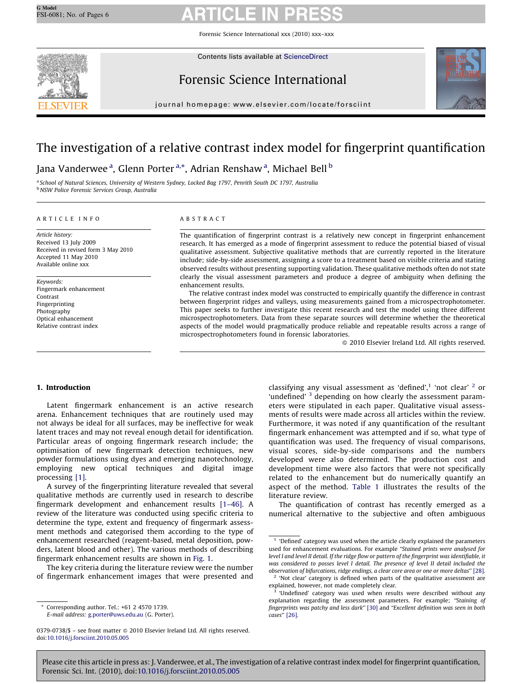Forensic Science International xxx (2010) xxx–xxx



Contents lists available at [ScienceDirect](http://www.sciencedirect.com/science/journal/03790738)

# Forensic Science International



journal homepage: www.elsevier.com/locate/forsciint

# The investigation of a relative contrast index model for fingerprint quantification

Jana Vanderwee <sup>a</sup>, Glenn Porter <sup>a,</sup>\*, Adrian Renshaw <sup>a</sup>, Michael Bell <sup>b</sup>

<sup>a</sup> School of Natural Sciences, University of Western Sydney, Locked Bag 1797, Penrith South DC 1797, Australia **b NSW Police Forensic Services Group, Australia** 

#### ARTICLE INFO

Article history: Received 13 July 2009 Received in revised form 3 May 2010 Accepted 11 May 2010 Available online xxx

Keywords: Fingermark enhancement Contrast Fingerprinting Photography Optical enhancement Relative contrast index

#### ABSTRACT

The quantification of fingerprint contrast is a relatively new concept in fingerprint enhancement research. It has emerged as a mode of fingerprint assessment to reduce the potential biased of visual qualitative assessment. Subjective qualitative methods that are currently reported in the literature include; side-by-side assessment, assigning a score to a treatment based on visible criteria and stating observed results without presenting supporting validation. These qualitative methods often do not state clearly the visual assessment parameters and produce a degree of ambiguity when defining the enhancement results.

The relative contrast index model was constructed to empirically quantify the difference in contrast between fingerprint ridges and valleys, using measurements gained from a microspectrophotometer. This paper seeks to further investigate this recent research and test the model using three different microspectrophotometers. Data from these separate sources will determine whether the theoretical aspects of the model would pragmatically produce reliable and repeatable results across a range of microspectrophotometers found in forensic laboratories.

 $\odot$  2010 Elsevier Ireland Ltd. All rights reserved.

### 1. Introduction

Latent fingermark enhancement is an active research arena. Enhancement techniques that are routinely used may not always be ideal for all surfaces, may be ineffective for weak latent traces and may not reveal enough detail for identification. Particular areas of ongoing fingermark research include; the optimisation of new fingermark detection techniques, new powder formulations using dyes and emerging nanotechnology, employing new optical techniques and digital image processing [\[1\].](#page-4-0)

A survey of the fingerprinting literature revealed that several qualitative methods are currently used in research to describe fingermark development and enhancement results [\[1–46\].](#page-4-0) A review of the literature was conducted using specific criteria to determine the type, extent and frequency of fingermark assessment methods and categorised them according to the type of enhancement researched (reagent-based, metal deposition, powders, latent blood and other). The various methods of describing fingermark enhancement results are shown in [Fig. 1.](#page-1-0)

The key criteria during the literature review were the number of fingermark enhancement images that were presented and

classifying any visual assessment as 'defined', $1$  'not clear'  $2$  or 'undefined' <sup>3</sup> depending on how clearly the assessment parameters were stipulated in each paper. Qualitative visual assessments of results were made across all articles within the review. Furthermore, it was noted if any quantification of the resultant fingermark enhancement was attempted and if so, what type of quantification was used. The frequency of visual comparisons, visual scores, side-by-side comparisons and the numbers developed were also determined. The production cost and development time were also factors that were not specifically related to the enhancement but do numerically quantify an aspect of the method. [Table 1](#page-2-0) illustrates the results of the literature review.

The quantification of contrast has recently emerged as a numerical alternative to the subjective and often ambiguous

Corresponding author. Tel.: +61 2 4570 1739. E-mail address: [g.porter@uws.edu.au](mailto:g.porter@uws.edu.au) (G. Porter).

 $0379-0738/\$  – see front matter  $\odot$  2010 Elsevier Ireland Ltd. All rights reserved. doi:[10.1016/j.forsciint.2010.05.005](http://dx.doi.org/10.1016/j.forsciint.2010.05.005)

 $1$  'Defined' category was used when the article clearly explained the parameters used for enhancement evaluations. For example ''Stained prints were analysed for level I and level II detail. If the ridge flow or pattern of the fingerprint was identifiable, it was considered to posses level I detail. The presence of level II detail included the observation of bifurcations, ridge endings, a clear core area or one or more deltas'' [\[28\].](#page-5-0)

<sup>&#</sup>x27;Not clear' category is defined when parts of the qualitative assessment are explained, however, not made completely clear.

<sup>&#</sup>x27;Undefined' category was used when results were described without any explanation regarding the assessment parameters. For example; "Staining of fingerprints was patchy and less dark'' [\[30\]](#page-5-0) and ''Excellent definition was seen in both cases'' [\[26\]](#page-5-0).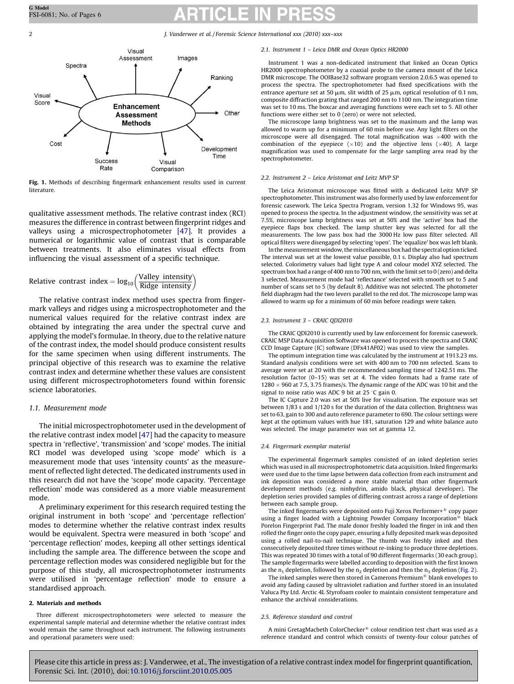<span id="page-1-0"></span>

Fig. 1. Methods of describing fingermark enhancement results used in current literature.

qualitative assessment methods. The relative contrast index (RCI) measures the difference in contrast between fingerprint ridges and valleys using a microspectrophotometer [\[47\]](#page-5-0). It provides a numerical or logarithmic value of contrast that is comparable between treatments. It also eliminates visual effects from influencing the visual assessment of a specific technique.

Relative contrast index = 
$$
log_{10} \left( \frac{\text{Valley intensity}}{\text{Ridge intensity}} \right)
$$

The relative contrast index method uses spectra from fingermark valleys and ridges using a microspectrophotometer and the numerical values required for the relative contrast index are obtained by integrating the area under the spectral curve and applying the model's formulae. In theory, due to the relative nature of the contrast index, the model should produce consistent results for the same specimen when using different instruments. The principal objective of this research was to examine the relative contrast index and determine whether these values are consistent using different microspectrophotometers found within forensic science laboratories.

#### 1.1. Measurement mode

The initial microspectrophotometer used in the development of the relative contrast index model [\[47\]](#page-5-0) had the capacity to measure spectra in 'reflective', 'transmission' and 'scope' modes. The initial RCI model was developed using 'scope mode' which is a measurement mode that uses 'intensity counts' as the measurement of reflected light detected. The dedicated instruments used in this research did not have the 'scope' mode capacity. 'Percentage reflection' mode was considered as a more viable measurement mode.

A preliminary experiment for this research required testing the original instrument in both 'scope' and 'percentage reflection' modes to determine whether the relative contrast index results would be equivalent. Spectra were measured in both 'scope' and 'percentage reflection' modes, keeping all other settings identical including the sample area. The difference between the scope and percentage reflection modes was considered negligible but for the purpose of this study, all microspectrophotometer instruments were utilised in 'percentage reflection' mode to ensure a standardised approach.

#### 2. Materials and methods

Three different microspectrophotometers were selected to measure the experimental sample material and determine whether the relative contrast index would remain the same throughout each instrument. The following instruments and operational parameters were used:

#### 2.1. Instrument 1 – Leica DMR and Ocean Optics HR2000

Instrument 1 was a non-dedicated instrument that linked an Ocean Optics HR2000 spectrophotometer by a coaxial probe to the camera mount of the Leica DMR microscope. The OOIBase32 software program version 2.0.6.5 was opened to process the spectra. The spectrophotometer had fixed specifications with the entrance aperture set at 50  $\mu$ m, slit width of 25  $\mu$ m, optical resolution of 0.1 nm, composite diffraction grating that ranged 200 nm to 1100 nm. The integration time was set to 10 ms. The boxcar and averaging functions were each set to 5. All other functions were either set to 0 (zero) or were not selected.

The microscope lamp brightness was set to the maximum and the lamp was allowed to warm up for a minimum of 60 min before use. Any light filters on the microscope were all disengaged. The total magnification was  $\times$ 400 with the combination of the eyepiece  $(x10)$  and the objective lens  $(x40)$ . A large magnification was used to compensate for the large sampling area read by the spectrophotometer.

#### 2.2. Instrument 2 – Leica Aristomat and Leitz MVP SP

The Leica Aristomat microscope was fitted with a dedicated Leitz MVP SP spectrophotometer. This instrument was also formerly used by law enforcement for forensic casework. The Leica Spectra Program, version 1.32 for Windows 95, was opened to process the spectra. In the adjustment window, the sensitivity was set at 7.5%, microscope lamp brightness was set at 50% and the 'active' box had the eyepiece flaps box checked. The lamp shutter key was selected for all the measurements. The low pass box had the 3000 Hz low pass filter selected. All optical filters were disengaged by selecting 'open'. The 'equalize' box was left blank.

In the measurement window, the miscellaneous box had the spectral option ticked. The interval was set at the lowest value possible, 0.1 s. Display also had spectrum selected. Colorimetry values had light type A and colour model XYZ selected. The spectrum box had a range of 400 nm to 700 nm, with the limit set to 0 (zero) and delta 3 selected. Measurement mode had 'reflectance' selected with smooth set to 5 and number of scans set to 5 (by default 8). Additive was not selected. The photometer field diaphragm had the two levers parallel to the red dot. The microscope lamp was allowed to warm up for a minimum of 60 min before readings were taken.

#### 2.3. Instrument 3 – CRAIC QDI2010

The CRAIC QDI2010 is currently used by law enforcement for forensic casework. CRAIC MSP Data Acquisition Software was opened to process the spectra and CRAIC CCD Image Capture (IC) software (DFx41AF02) was used to view the samples.

The optimum integration time was calculated by the instrument at 1913.23 ms. Standard analysis conditions were set with 400 nm to 700 nm selected. Scans to average were set at 20 with the recommended sampling time of 1242.51 ms. The resolution factor (0–15) was set at 4. The video formats had a frame rate of  $1280 \times 960$  at 7.5, 3.75 frames/s. The dynamic range of the ADC was 10 bit and the signal to noise ratio was ADC 9 bit at  $25^{\circ}$ C gain 0.

The IC Capture 2.0 was set at 50% live for visualisation. The exposure was set between 1/83 s and 1/120 s for the duration of the data collection. Brightness was set to 63, gain to 300 and auto reference parameter to 690. The colour settings were kept at the optimum values with hue 181, saturation 129 and white balance auto was selected. The image parameter was set at gamma 12.

#### 2.4. Fingermark exemplar material

The experimental fingermark samples consisted of an inked depletion series which was used in all microspectrophotometric data acquisition. Inked fingermarks were used due to the time lapse between data collection from each instrument and ink deposition was considered a more stable material than other fingermark development methods (e.g. ninhydrin, amido black, physical developer). The depletion series provided samples of differing contrast across a range of depletions between each sample group.

The inked fingermarks were deposited onto Fuji Xerox Performer $+$ <sup>®</sup> copy paper using a finger loaded with a Lightning Powder Company Incorporation<sup>®</sup> black Porelon Fingerprint Pad. The male donor freshly loaded the finger in ink and then rolled the finger onto the copy paper, ensuring a fully deposited mark was deposited using a rolled nail-to-nail technique. The thumb was freshly inked and then consecutively deposited three times without re-inking to produce three depletions. This was repeated 30 times with a total of 90 different fingermarks (30 each group). The sample fingermarks were labelled according to deposition with the first known as the  $n_1$  depletion, followed by the  $n_2$  depletion and then the  $n_3$  depletion ([Fig. 2\)](#page-3-0).

The inked samples were then stored in Camerons Premium $^{\circledR}$  blank envelopes to avoid any fading caused by ultraviolet radiation and further stored in an insulated Valuca Pty Ltd. Arctic 4L Styrofoam cooler to maintain consistent temperature and enhance the archival considerations.

#### 2.5. Reference standard and control

A mini GretagMacbeth ColorChecker<sup>®</sup> colour rendition test chart was used as a reference standard and control which consists of twenty-four colour patches of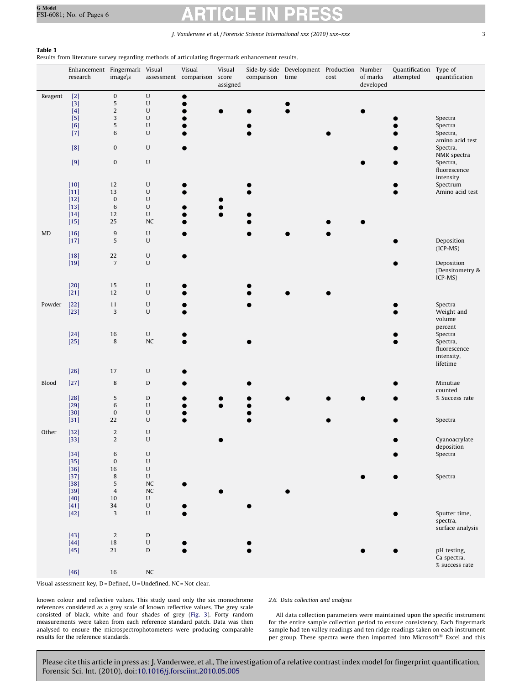### <span id="page-2-0"></span>Table 1

Results from literature survey regarding methods of articulating fingermark enhancement results.

|           | Enhancement Fingermark Visual<br>research                                                                                                                                                                                                                     | image\s                     |                                                                                                                                                                                                                          | Visual<br>assessment comparison score | Visual<br>assigned | comparison | Side-by-side Development Production<br>time | cost | Number<br>of marks<br>developed | Quantification Type of<br>attempted | quantification                          |
|-----------|---------------------------------------------------------------------------------------------------------------------------------------------------------------------------------------------------------------------------------------------------------------|-----------------------------|--------------------------------------------------------------------------------------------------------------------------------------------------------------------------------------------------------------------------|---------------------------------------|--------------------|------------|---------------------------------------------|------|---------------------------------|-------------------------------------|-----------------------------------------|
| Reagent   | $[2]$<br>$[3]$                                                                                                                                                                                                                                                | $\boldsymbol{0}$<br>5       | ${\bf U}$<br>${\bf U}$                                                                                                                                                                                                   | 0                                     |                    |            |                                             |      |                                 |                                     |                                         |
|           | [4]                                                                                                                                                                                                                                                           | $\overline{2}$              | ${\bf U}$                                                                                                                                                                                                                |                                       |                    |            |                                             |      |                                 |                                     |                                         |
|           | $[5]$<br>[6]                                                                                                                                                                                                                                                  | 3<br>5                      | $\mathsf{U}% _{T}=\mathsf{U}_{T}\!\left( a,b\right) ,\ \mathsf{U}_{T}=\mathsf{U}_{T}\!\left( a,b\right) ,$<br>$\mathsf{U}% _{T}=\mathsf{U}_{T}\!\left( a,b\right) ,\ \mathsf{U}_{T}=\mathsf{U}_{T}\!\left( a,b\right) ,$ |                                       |                    |            |                                             |      |                                 |                                     | Spectra<br>Spectra                      |
|           | $[7]$                                                                                                                                                                                                                                                         | 6                           | $\mathsf{U}$                                                                                                                                                                                                             |                                       |                    |            |                                             |      |                                 |                                     | Spectra,<br>amino acid test             |
|           | $[8]$                                                                                                                                                                                                                                                         | 0                           | $\mathsf{U}% _{T}=\mathsf{U}_{T}\!\left( a,b\right) ,\ \mathsf{U}_{T}=\mathsf{U}_{T}\!\left( a,b\right) ,$                                                                                                               |                                       |                    |            |                                             |      |                                 |                                     | Spectra,                                |
|           | $[9] % \begin{center} \includegraphics[width=\textwidth]{figures/fig_4} \end{center} % \vspace*{-1em} \caption{The figure shows the number of different types of the estimators. The left is the number of different types of the input.} \label{fig:time} %$ | $\pmb{0}$                   | $\mathsf{U}% _{T}=\mathsf{U}_{T}\!\left( a,b\right) ,\ \mathsf{U}_{T}=\mathsf{U}_{T}\!\left( a,b\right) ,$                                                                                                               |                                       |                    |            |                                             |      |                                 |                                     | NMR spectra<br>Spectra,<br>fluorescence |
|           | $[10]$                                                                                                                                                                                                                                                        | 12                          | $\mathsf{U}% _{T}=\mathsf{U}_{T}\!\left( a,b\right) ,\ \mathsf{U}_{T}=\mathsf{U}_{T}\!\left( a,b\right) ,$                                                                                                               |                                       |                    |            |                                             |      |                                 |                                     | intensity<br>Spectrum                   |
|           | $[11]$                                                                                                                                                                                                                                                        | 13                          | $\mathsf{U}% _{T}=\mathsf{U}_{T}\!\left( a,b\right) ,\ \mathsf{U}_{T}=\mathsf{U}_{T}\!\left( a,b\right) ,$                                                                                                               |                                       |                    |            |                                             |      |                                 |                                     | Amino acid test                         |
|           | $[12]$<br>$[13]$                                                                                                                                                                                                                                              | $\boldsymbol{0}$<br>$\,6\,$ | $\mathsf{U}% _{T}=\mathsf{U}_{T}\!\left( a,b\right) ,\ \mathsf{U}_{T}=\mathsf{U}_{T}\!\left( a,b\right) ,$<br>$\mathsf{U}% _{T}=\mathsf{U}_{T}\!\left( a,b\right) ,\ \mathsf{U}_{T}=\mathsf{U}_{T}\!\left( a,b\right) ,$ |                                       |                    |            |                                             |      |                                 |                                     |                                         |
|           | $[14]$<br>$[15]$                                                                                                                                                                                                                                              | 12<br>25                    | $\mathsf{U}% _{T}=\mathsf{U}_{T}\!\left( a,b\right) ,\ \mathsf{U}_{T}=\mathsf{U}_{T}\!\left( a,b\right) ,$<br><b>NC</b>                                                                                                  |                                       |                    |            |                                             |      |                                 |                                     |                                         |
| <b>MD</b> | $[16]$                                                                                                                                                                                                                                                        | $\boldsymbol{9}$            | $\mathsf{U}% _{T}=\mathsf{U}_{T}\!\left( a,b\right) ,\ \mathsf{U}_{T}=\mathsf{U}_{T}\!\left( a,b\right) ,$                                                                                                               |                                       |                    |            |                                             |      |                                 |                                     |                                         |
|           | $[17]$                                                                                                                                                                                                                                                        | 5                           | $\mathsf{U}% _{T}=\mathsf{U}_{T}\!\left( a,b\right) ,\ \mathsf{U}_{T}=\mathsf{U}_{T}\!\left( a,b\right) ,$                                                                                                               |                                       |                    |            |                                             |      |                                 |                                     | Deposition<br>$(ICP-MS)$                |
|           | $[18]$<br>$[19]$                                                                                                                                                                                                                                              | 22<br>$\sqrt{7}$            | $\mathsf{U}% _{T}=\mathsf{U}_{T}\!\left( a,b\right) ,\ \mathsf{U}_{T}=\mathsf{U}_{T}\!\left( a,b\right) ,$<br>$\mathsf{U}% _{T}=\mathsf{U}_{T}\!\left( a,b\right) ,\ \mathsf{U}_{T}=\mathsf{U}_{T}\!\left( a,b\right) ,$ |                                       |                    |            |                                             |      |                                 |                                     | Deposition                              |
|           |                                                                                                                                                                                                                                                               |                             |                                                                                                                                                                                                                          |                                       |                    |            |                                             |      |                                 |                                     | (Densitometry &<br>ICP-MS)              |
|           | $[20]$<br>$[21]$                                                                                                                                                                                                                                              | 15<br>12                    | $\mathsf{U}% _{T}=\mathsf{U}_{T}\!\left( a,b\right) ,\ \mathsf{U}_{T}=\mathsf{U}_{T}\!\left( a,b\right) ,$<br>$\mathsf{U}% _{T}=\mathsf{U}_{T}\!\left( a,b\right) ,\ \mathsf{U}_{T}=\mathsf{U}_{T}\!\left( a,b\right) ,$ |                                       |                    |            |                                             |      |                                 |                                     |                                         |
| Powder    | $[22]$                                                                                                                                                                                                                                                        | 11                          | $\mathsf{U}% _{T}=\mathsf{U}_{T}\!\left( a,b\right) ,\ \mathsf{U}_{T}=\mathsf{U}_{T}\!\left( a,b\right) ,$                                                                                                               |                                       |                    |            |                                             |      |                                 |                                     | Spectra                                 |
|           | $[23]$                                                                                                                                                                                                                                                        | 3                           | $\mathsf{U}% _{T}=\mathsf{U}_{T}\!\left( a,b\right) ,\ \mathsf{U}_{T}=\mathsf{U}_{T}\!\left( a,b\right) ,$                                                                                                               |                                       |                    |            |                                             |      |                                 |                                     | Weight and<br>volume                    |
|           |                                                                                                                                                                                                                                                               |                             |                                                                                                                                                                                                                          |                                       |                    |            |                                             |      |                                 |                                     | percent                                 |
|           | $[24]$<br>$[25]$                                                                                                                                                                                                                                              | 16<br>$\,8\,$               | ${\bf U}$<br>${\sf NC}$                                                                                                                                                                                                  |                                       |                    |            |                                             |      |                                 |                                     | Spectra<br>Spectra,                     |
|           |                                                                                                                                                                                                                                                               |                             |                                                                                                                                                                                                                          |                                       |                    |            |                                             |      |                                 |                                     | fluorescence<br>intensity,              |
|           | $[26]$                                                                                                                                                                                                                                                        | 17                          | $\mathsf{U}% _{T}=\mathsf{U}_{T}\!\left( a,b\right) ,\ \mathsf{U}_{T}=\mathsf{U}_{T}\!\left( a,b\right) ,$                                                                                                               |                                       |                    |            |                                             |      |                                 |                                     | lifetime                                |
| Blood     | $[27]$                                                                                                                                                                                                                                                        | 8                           | $\mathbf D$                                                                                                                                                                                                              |                                       |                    |            |                                             |      |                                 |                                     | Minutiae                                |
|           |                                                                                                                                                                                                                                                               |                             |                                                                                                                                                                                                                          |                                       |                    |            |                                             |      |                                 |                                     | counted                                 |
|           | $[28]$<br>$[29]$                                                                                                                                                                                                                                              | 5<br>$\,6\,$                | $\mathbf D$<br>$\mathsf{U}% _{T}=\mathsf{U}_{T}\!\left( a,b\right) ,\ \mathsf{U}_{T}=\mathsf{U}_{T}\!\left( a,b\right) ,$                                                                                                |                                       |                    |            |                                             |      |                                 |                                     | % Success rate                          |
|           | $[30]$<br>$[31]$                                                                                                                                                                                                                                              | $\boldsymbol{0}$<br>22      | $\mathsf{U}% _{T}=\mathsf{U}_{T}\!\left( a,b\right) ,\ \mathsf{U}_{T}=\mathsf{U}_{T}\!\left( a,b\right) ,$<br>$\mathsf{U}% _{T}=\mathsf{U}_{T}\!\left( a,b\right) ,\ \mathsf{U}_{T}=\mathsf{U}_{T}\!\left( a,b\right) ,$ |                                       |                    |            |                                             |      |                                 |                                     | Spectra                                 |
| Other     | $[32]$                                                                                                                                                                                                                                                        | $\sqrt{2}$                  | U                                                                                                                                                                                                                        |                                       |                    |            |                                             |      |                                 |                                     |                                         |
|           | $[33]$                                                                                                                                                                                                                                                        | $\overline{2}$              | $\mathsf{U}% _{T}=\mathsf{U}_{T}\!\left( a,b\right) ,\ \mathsf{U}_{T}=\mathsf{U}_{T}\!\left( a,b\right) ,$                                                                                                               |                                       |                    |            |                                             |      |                                 |                                     | Cyanoacrylate<br>deposition             |
|           | $[34]$                                                                                                                                                                                                                                                        | 6                           | $\mathsf{U}% _{T}=\mathsf{U}_{T}\!\left( a,b\right) ,\ \mathsf{U}_{T}=\mathsf{U}_{T}\!\left( a,b\right) ,$                                                                                                               |                                       |                    |            |                                             |      |                                 |                                     | Spectra                                 |
|           | $[35]$<br>$[36]$                                                                                                                                                                                                                                              | $\pmb{0}$<br>16             | $\mathsf{U}% _{T}=\mathsf{U}_{T}\!\left( a,b\right) ,\ \mathsf{U}_{T}=\mathsf{U}_{T}\!\left( a,b\right) ,$<br>${\bf U}$                                                                                                  |                                       |                    |            |                                             |      |                                 |                                     |                                         |
|           | $[37]$<br>$[38]$                                                                                                                                                                                                                                              | $\,$ 8 $\,$<br>5            | $\mathsf{U}% _{T}=\mathsf{U}_{T}\!\left( a,b\right) ,\ \mathsf{U}_{T}=\mathsf{U}_{T}\!\left( a,b\right) ,$<br>${\sf NC}$                                                                                                 |                                       |                    |            |                                             |      |                                 |                                     | Spectra                                 |
|           | $[39]$<br>$[40]$                                                                                                                                                                                                                                              | $\sqrt{4}$<br>10            | NC<br>${\bf U}$                                                                                                                                                                                                          |                                       |                    |            |                                             |      |                                 |                                     |                                         |
|           | $[41]$                                                                                                                                                                                                                                                        | 34                          | $\mathsf{U}% _{T}=\mathsf{U}_{T}\!\left( a,b\right) ,\ \mathsf{U}_{T}=\mathsf{U}_{T}\!\left( a,b\right) ,$                                                                                                               |                                       |                    |            |                                             |      |                                 |                                     |                                         |
|           | $[42]$                                                                                                                                                                                                                                                        | $\mathbf{3}$                | $\mathsf{U}% _{T}=\mathsf{U}_{T}\!\left( a,b\right) ,\ \mathsf{U}_{T}=\mathsf{U}_{T}\!\left( a,b\right) ,$                                                                                                               |                                       |                    |            |                                             |      |                                 |                                     | Sputter time,<br>spectra,               |
|           | $[43]$                                                                                                                                                                                                                                                        | $\overline{2}$              | $\mathbf D$                                                                                                                                                                                                              |                                       |                    |            |                                             |      |                                 |                                     | surface analysis                        |
|           | $[44]$                                                                                                                                                                                                                                                        | $18\,$                      | $\sf U$                                                                                                                                                                                                                  |                                       |                    |            |                                             |      |                                 |                                     |                                         |
|           | $[45]$                                                                                                                                                                                                                                                        | 21                          | ${\mathsf D}$                                                                                                                                                                                                            |                                       |                    |            |                                             |      |                                 |                                     | pH testing,<br>Ca spectra,              |
|           | $[46]$                                                                                                                                                                                                                                                        | 16                          | $\rm NC$                                                                                                                                                                                                                 |                                       |                    |            |                                             |      |                                 |                                     | % success rate                          |
|           |                                                                                                                                                                                                                                                               |                             |                                                                                                                                                                                                                          |                                       |                    |            |                                             |      |                                 |                                     |                                         |

Visual assessment key, D = Defined, U = Undefined, NC = Not clear.

known colour and reflective values. This study used only the six monochrome references considered as a grey scale of known reflective values. The grey scale consisted of black, white and four shades of grey [\(Fig. 3](#page-3-0)). Forty random measurements were taken from each reference standard patch. Data was then analysed to ensure the microspectrophotometers were producing comparable results for the reference standards.

#### 2.6. Data collection and analysis

All data collection parameters were maintained upon the specific instrument for the entire sample collection period to ensure consistency. Each fingermark sample had ten valley readings and ten ridge readings taken on each instrument<br>per group. These spectra were then imported into Microsoft® Excel and this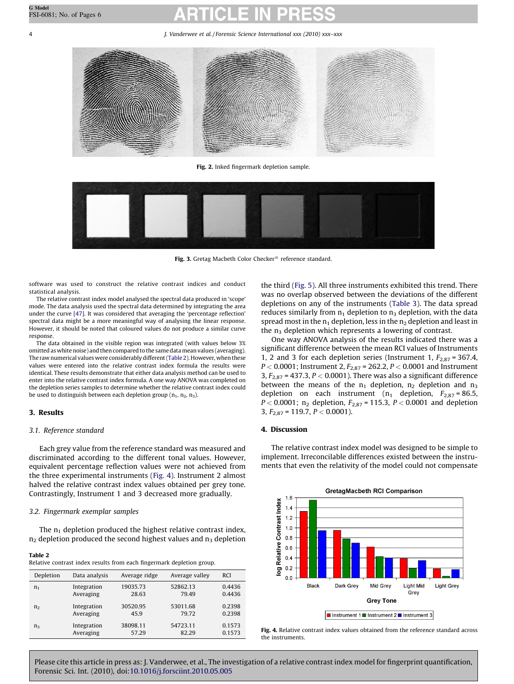<span id="page-3-0"></span>

Fig. 2. Inked fingermark depletion sample.



Fig. 3. Gretag Macbeth Color Checker<sup>®</sup> reference standard.

software was used to construct the relative contrast indices and conduct statistical analysis.

The relative contrast index model analysed the spectral data produced in 'scope' mode. The data analysis used the spectral data determined by integrating the area under the curve [\[47\].](#page-5-0) It was considered that averaging the 'percentage reflection' spectral data might be a more meaningful way of analysing the linear response. However, it should be noted that coloured values do not produce a similar curve response.

The data obtained in the visible region was integrated (with values below 3% omitted as white noise) and then compared to the same datamean values (averaging). The raw numerical values were considerably different (Table 2). However, when these values were entered into the relative contrast index formula the results were identical. These results demonstrate that either data analysis method can be used to enter into the relative contrast index formula. A one way ANOVA was completed on the depletion series samples to determine whether the relative contrast index could be used to distinguish between each depletion group ( $n_1$ ,  $n_2$ ,  $n_3$ ).

# 3. Results

# 3.1. Reference standard

Each grey value from the reference standard was measured and discriminated according to the different tonal values. However, equivalent percentage reflection values were not achieved from the three experimental instruments (Fig. 4). Instrument 2 almost halved the relative contrast index values obtained per grey tone. Contrastingly, Instrument 1 and 3 decreased more gradually.

# 3.2. Fingermark exemplar samples

The  $n_1$  depletion produced the highest relative contrast index,  $n_2$  depletion produced the second highest values and  $n_3$  depletion

# Table 2

| Depletion      | Data analysis | Average ridge | Average valley | <b>RCI</b> |
|----------------|---------------|---------------|----------------|------------|
| $n_1$          | Integration   | 19035.73      | 52862.13       | 0.4436     |
|                | Averaging     | 28.63         | 79.49          | 0.4436     |
| n <sub>2</sub> | Integration   | 30520.95      | 53011.68       | 0.2398     |
|                | Averaging     | 45.9          | 79.72          | 0.2398     |
| $n_3$          | Integration   | 38098.11      | 54723.11       | 0.1573     |
|                | Averaging     | 57.29         | 82.29          | 0.1573     |

the third ([Fig. 5\)](#page-4-0). All three instruments exhibited this trend. There was no overlap observed between the deviations of the different depletions on any of the instruments ([Table 3](#page-4-0)). The data spread reduces similarly from  $n_1$  depletion to  $n_3$  depletion, with the data spread most in the  $n_1$  depletion, less in the  $n_2$  depletion and least in the  $n_3$  depletion which represents a lowering of contrast.

One way ANOVA analysis of the results indicated there was a significant difference between the mean RCI values of Instruments 1, 2 and 3 for each depletion series (Instrument 1,  $F_{2,87}$  = 367.4,  $P < 0.0001$ ; Instrument 2,  $F_{2.87}$  = 262.2,  $P < 0.0001$  and Instrument 3,  $F_{2,87}$  = 437.3,  $P < 0.0001$ ). There was also a significant difference between the means of the  $n_1$  depletion,  $n_2$  depletion and  $n_3$ depletion on each instrument ( $n_1$  depletion,  $F_{2,87} = 86.5$ ,  $P < 0.0001$ ; n<sub>2</sub> depletion,  $F_{2,87} = 115.3$ ,  $P < 0.0001$  and depletion 3,  $F_{2.87}$  = 119.7,  $P < 0.0001$ ).

# 4. Discussion

The relative contrast index model was designed to be simple to implement. Irreconcilable differences existed between the instruments that even the relativity of the model could not compensate



Fig. 4. Relative contrast index values obtained from the reference standard across the instruments.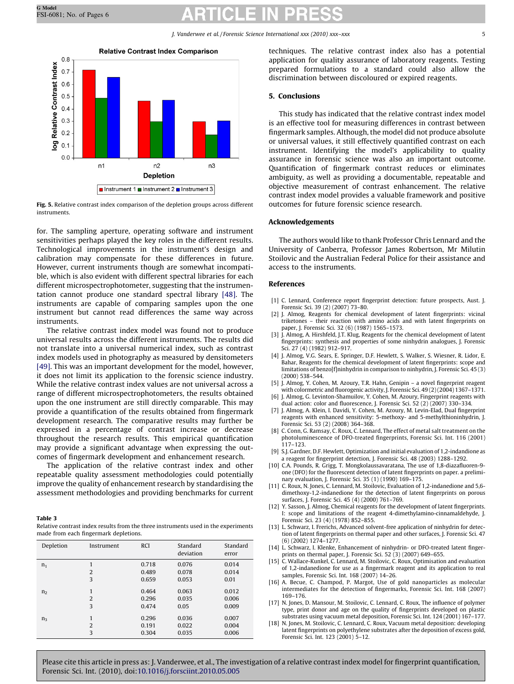<span id="page-4-0"></span>

Fig. 5. Relative contrast index comparison of the depletion groups across different instruments.

for. The sampling aperture, operating software and instrument sensitivities perhaps played the key roles in the different results. Technological improvements in the instrument's design and calibration may compensate for these differences in future. However, current instruments though are somewhat incompatible, which is also evident with different spectral libraries for each different microspectrophotometer, suggesting that the instrumentation cannot produce one standard spectral library [\[48\]](#page-5-0). The instruments are capable of comparing samples upon the one instrument but cannot read differences the same way across instruments.

The relative contrast index model was found not to produce universal results across the different instruments. The results did not translate into a universal numerical index, such as contrast index models used in photography as measured by densitometers [\[49\]](#page-5-0). This was an important development for the model, however, it does not limit its application to the forensic science industry. While the relative contrast index values are not universal across a range of different microspectrophotometers, the results obtained upon the one instrument are still directly comparable. This may provide a quantification of the results obtained from fingermark development research. The comparative results may further be expressed in a percentage of contrast increase or decrease throughout the research results. This empirical quantification may provide a significant advantage when expressing the outcomes of fingermark development and enhancement research.

The application of the relative contrast index and other repeatable quality assessment methodologies could potentially improve the quality of enhancement research by standardising the assessment methodologies and providing benchmarks for current

#### Table 3

Relative contrast index results from the three instruments used in the experiments made from each fingermark depletions.

| Depletion      | Instrument               | <b>RCI</b>              | Standard<br>deviation   | Standard<br>error       |
|----------------|--------------------------|-------------------------|-------------------------|-------------------------|
| n <sub>1</sub> | 1                        | 0.718                   | 0.076                   | 0.014                   |
|                | $\overline{2}$           | 0.489                   | 0.078                   | 0.014                   |
|                | 3                        | 0.659                   | 0.053                   | 0.01                    |
| n <sub>2</sub> | 1<br>$\overline{2}$<br>3 | 0.464<br>0.296<br>0.474 | 0.063<br>0.035<br>0.05  | 0.012<br>0.006<br>0.009 |
| $n_3$          | 1<br>$\overline{2}$<br>3 | 0.296<br>0.191<br>0.304 | 0.036<br>0.022<br>0.035 | 0.007<br>0.004<br>0.006 |
|                |                          |                         |                         |                         |

techniques. The relative contrast index also has a potential application for quality assurance of laboratory reagents. Testing prepared formulations to a standard could also allow the discrimination between discoloured or expired reagents.

### 5. Conclusions

This study has indicated that the relative contrast index model is an effective tool for measuring differences in contrast between fingermark samples. Although, the model did not produce absolute or universal values, it still effectively quantified contrast on each instrument. Identifying the model's applicability to quality assurance in forensic science was also an important outcome. Quantification of fingermark contrast reduces or eliminates ambiguity, as well as providing a documentable, repeatable and objective measurement of contrast enhancement. The relative contrast index model provides a valuable framework and positive outcomes for future forensic science research.

### Acknowledgements

The authors would like to thank Professor Chris Lennard and the University of Canberra, Professor James Robertson, Mr Milutin Stoilovic and the Australian Federal Police for their assistance and access to the instruments.

### References

- [1] C. Lennard, Conference report fingerprint detection: future prospects, Aust. J. Forensic Sci. 39 (2) (2007) 73–80.
- J. Almog, Reagents for chemical development of latent fingerprints: vicinal triketones – their reaction with amino acids and with latent fingerprints on paper, J. Forensic Sci. 32 (6) (1987) 1565–1573.
- J. Almog, A. Hirshfeld, J.T. Klug, Reagents for the chemical development of latent fingerprints: synthesis and properties of some ninhydrin analogues, J. Forensic Sci. 27 (4) (1982) 912–917.
- [4] J. Almog, V.G. Sears, E. Springer, D.F. Hewlett, S. Walker, S. Wiesner, R. Lidor, E. Bahar, Reagents for the chemical development of latent fingerprints: scope and limitations of benzo[f]ninhydrin in comparison to ninhydrin, J. Forensic Sci. 45 (3) (2000) 538–544.
- [5] J. Almog, Y. Cohen, M. Azoury, T.R. Hahn, Genipin a novel fingerprint reagent with colormetric and fluorogenic activity, J. Forensic Sci. 49 (2) (2004) 1367–1371.
- [6] J. Almog, G. Levinton-Shamuilov, Y. Cohen, M. Azoury, Fingerprint reagents with dual action: color and fluorescence, J. Forensic Sci. 52 (2) (2007) 330–334.
- [7] J. Almog, A. Klein, I. Davidi, Y. Cohen, M. Azoury, M. Levin-Elad, Dual fingerprint reagents with enhanced sensitivity: 5-methoxy- and 5-methylthioninhydrin, J. Forensic Sci. 53 (2) (2008) 364–368.
- [8] C. Conn, G. Ramsay, C. Roux, C. Lennard, The effect of metal salt treatment on the photoluminescence of DFO-treated fingerprints, Forensic Sci. Int. 116 (2001) 117–123.
- [9] S.J. Gardner, D.F. Hewlett, Optimization and initial evaluation of 1,2-indandione as a reagent for fingerprint detection, J. Forensic Sci. 48 (2003) 1288–1292.
- [10] C.A. Pounds, R. Grigg, T. Mongkolaussavaratana, The use of 1,8-diazafluoren-9 one (DFO) for the fluorescent detection of latent fingerprints on paper. a preliminary evaluation, J. Forensic Sci. 35 (1) (1990) 169–175.
- [11] C. Roux, N. Jones, C. Lennard, M. Stoilovic, Evaluation of 1,2-indanedione and 5,6 dimethoxy-1,2-indanedione for the detection of latent fingerprints on porous surfaces, J. Forensic Sci. 45 (4) (2000) 761–769.
- [12] Y. Sasson, J. Almog, Chemical reagents for the development of latent fingerprints. I: scope and limitations of the reagent 4-dimethylamino-cinnamaldehyde, J. Forensic Sci. 23 (4) (1978) 852–855.
- [13] L. Schwarz, I. Frerichs, Advanced solvent-free application of ninhydrin for detection of latent fingerprints on thermal paper and other surfaces, J. Forensic Sci. 47 (6) (2002) 1274–1277.
- [14] L. Schwarz, I. Klenke, Enhancement of ninhydrin- or DFO-treated latent fingerprints on thermal paper, J. Forensic Sci. 52 (3) (2007) 649–655.
- [15] C. Wallace-Kunkel, C. Lennard, M. Stoilovic, C. Roux, Optimisation and evaluation of 1,2-indanedione for use as a fingermark reagent and its application to real samples, Forensic Sci. Int. 168 (2007) 14–26.
- [16] A. Becue, C. Champod, P. Margot, Use of gold nanoparticles as molecular intermediates for the detection of fingermarks, Forensic Sci. Int. 168 (2007) 169–176.
- [17] N. Jones, D. Mansour, M. Stoilovic, C. Lennard, C. Roux, The influence of polymer type, print donor and age on the quality of fingerprints developed on plastic substrates using vacuum metal deposition, Forensic Sci. Int. 124 (2001) 167–177.
- [18] N. Jones, M. Stoilovic, C. Lennard, C. Roux, Vacuum metal deposition: developing latent fingerprints on polyethylene substrates after the deposition of excess gold, Forensic Sci. Int. 123 (2001) 5–12.